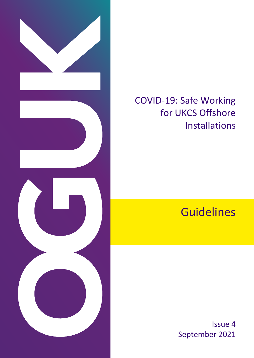

# COVID-19: Safe Working for UKCS Offshore Installations

# **Guidelines**

Issue 4 September 2021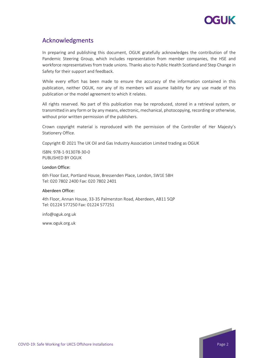

## Acknowledgments

In preparing and publishing this document, OGUK gratefully acknowledges the contribution of the Pandemic Steering Group, which includes representation from member companies, the HSE and workforce representatives from trade unions. Thanks also to Public Health Scotland and Step Change in Safety for their support and feedback.

While every effort has been made to ensure the accuracy of the information contained in this publication, neither OGUK, nor any of its members will assume liability for any use made of this publication or the model agreement to which it relates.

All rights reserved. No part of this publication may be reproduced, stored in a retrieval system, or transmitted in any form or by any means, electronic, mechanical, photocopying, recording or otherwise, without prior written permission of the publishers.

Crown copyright material is reproduced with the permission of the Controller of Her Majesty's Stationery Office.

Copyright © 2021 The UK Oil and Gas Industry Association Limited trading as OGUK

ISBN: 978-1-913078-30-0 PUBLISHED BY OGUK

#### London Office:

6th Floor East, Portland House, Bressenden Place, London, SW1E 5BH Tel: 020 7802 2400 Fax: 020 7802 2401

#### Aberdeen Office:

4th Floor, Annan House, 33-35 Palmerston Road, Aberdeen, AB11 5QP Tel: 01224 577250 Fax: 01224 577251

info@oguk.org.uk

www.oguk.org.uk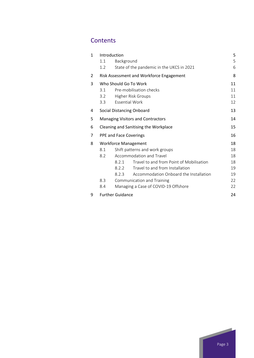## **Contents**

| 1 | Introduction                      |                                          |                                           |    |  |  |
|---|-----------------------------------|------------------------------------------|-------------------------------------------|----|--|--|
|   | Background<br>1.1                 |                                          |                                           | 5  |  |  |
|   | 1.2                               |                                          | State of the pandemic in the UKCS in 2021 | 6  |  |  |
| 2 |                                   | Risk Assessment and Workforce Engagement |                                           |    |  |  |
| 3 | Who Should Go To Work             |                                          |                                           |    |  |  |
|   | 3.1                               | Pre-mobilisation checks                  |                                           |    |  |  |
|   | 3.2                               |                                          | Higher Risk Groups                        | 11 |  |  |
|   | 3.3                               | <b>Essential Work</b>                    |                                           | 12 |  |  |
| 4 |                                   | Social Distancing Onboard<br>13          |                                           |    |  |  |
| 5 |                                   | <b>Managing Visitors and Contractors</b> |                                           |    |  |  |
| 6 |                                   | Cleaning and Sanitising the Workplace    |                                           |    |  |  |
| 7 |                                   | PPE and Face Coverings                   |                                           |    |  |  |
| 8 | <b>Workforce Management</b>       |                                          |                                           |    |  |  |
|   | 8.1                               | Shift patterns and work groups           |                                           |    |  |  |
|   | Accommodation and Travel<br>8.2   |                                          |                                           |    |  |  |
|   |                                   | 8.2.1                                    | Travel to and from Point of Mobilisation  | 18 |  |  |
|   |                                   | 8.2.2                                    | Travel to and from Installation           | 19 |  |  |
|   |                                   | 8.2.3                                    | Accommodation Onboard the Installation    | 19 |  |  |
|   | 8.3<br>Communication and Training |                                          |                                           |    |  |  |
|   | 8.4                               |                                          | Managing a Case of COVID-19 Offshore      | 22 |  |  |
| 9 | <b>Further Guidance</b>           |                                          |                                           | 24 |  |  |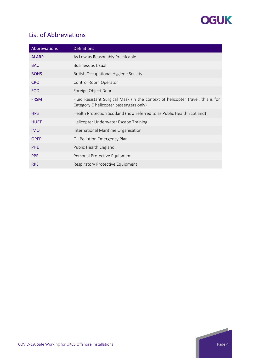

# List of Abbreviations

| Abbreviations | <b>Definitions</b>                                                                                                        |
|---------------|---------------------------------------------------------------------------------------------------------------------------|
| <b>ALARP</b>  | As Low as Reasonably Practicable                                                                                          |
| <b>BAU</b>    | <b>Business as Usual</b>                                                                                                  |
| <b>BOHS</b>   | <b>British Occupational Hygiene Society</b>                                                                               |
| <b>CRO</b>    | Control Room Operator                                                                                                     |
| <b>FOD</b>    | Foreign Object Debris                                                                                                     |
| <b>FRSM</b>   | Fluid Resistant Surgical Mask (in the context of helicopter travel, this is for<br>Category C helicopter passengers only) |
| <b>HPS</b>    | Health Protection Scotland (now referred to as Public Health Scotland)                                                    |
| <b>HUET</b>   | Helicopter Underwater Escape Training                                                                                     |
| <b>IMO</b>    | International Maritime Organisation                                                                                       |
| <b>OPEP</b>   | Oil Pollution Emergency Plan                                                                                              |
| <b>PHE</b>    | Public Health England                                                                                                     |
| <b>PPE</b>    | Personal Protective Equipment                                                                                             |
| <b>RPE</b>    | Respiratory Protective Equipment                                                                                          |

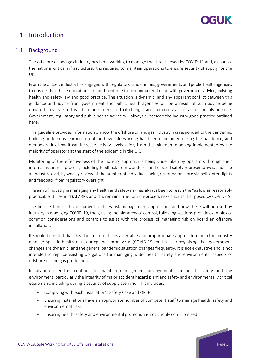

## <span id="page-4-0"></span>1 Introduction

### <span id="page-4-1"></span>1.1 Background

The offshore oil and gas industry has been working to manage the threat posed by COVID-19 and, as part of the national critical infrastructure, it is required to maintain operations to ensure security of supply for the UK.

From the outset, industry has engaged with regulators, trade unions, governments and public health agencies to ensure that these operations are and continue to be conducted in line with government advice, existing health and safety law and good practice. The situation is dynamic, and any apparent conflict between this guidance and advice from government and public health agencies will be a result of such advice being updated – every effort will be made to ensure that changes are captured as soon as reasonably possible. Government, regulatory and public health advice will always supersede the industry good practice outlined here.

This guideline provides information on how the offshore oil and gas industry has responded to the pandemic, building on lessons learned to outline how safe working has been maintained during the pandemic, and demonstrating how it can increase activity levels safely from the minimum manning implemented by the majority of operators at the start of the epidemic in the UK.

Monitoring of the effectiveness of the industry approach is being undertaken by operators through their internal assurance process, including feedback from workforce and elected safety representatives, and also at industry level, by weekly review of the number of individuals being returned onshore via helicopter flights and feedback from regulatory oversight.

The aim of industry in managing any health and safety risk has always been to reach the "as low as reasonably practicable" threshold (ALARP), and this remains true for non-process risks such as that posed by COVID-19.

The first section of this document outlines risk management approaches and how these will be used by industry in managing COVID-19, then, using the hierarchy of control, following sections provide examples of common considerations and controls to assist with the process of managing risk on board an offshore installation.

It should be noted that this document outlines a sensible and proportionate approach to help the industry manage specific health risks during the coronavirus (COVID-19) outbreak, recognising that government changes are dynamic, and the general pandemic situation changes frequently. It is not exhaustive and is not intended to replace existing obligations for managing wider health, safety and environmental aspects of offshore oil and gas production.

Installation operators continue to maintain management arrangements for health, safety and the environment, particularly the integrity of major accident hazard plant and safety and environmentally critical equipment, including during a security of supply scenario. This includes:

- Complying with each installation's Safety Case and OPEP.
- Ensuring installations have an appropriate number of competent staff to manage health, safety and environmental risks.
- Ensuring health, safety and environmental protection is not unduly compromised.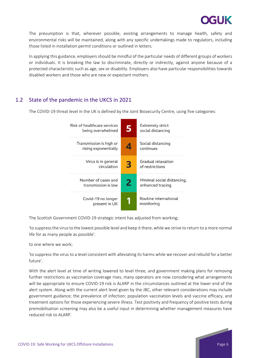

The presumption is that, wherever possible, existing arrangements to manage health, safety and environmental risks will be maintained, along with any specific undertakings made to regulators, including those listed in installation permit conditions or outlined in letters.

In applying this guidance, employers should be mindful of the particular needs of different groups of workers or individuals. It is breaking the law to discriminate, directly or indirectly, against anyone because of a protected characteristic such as age, sex or disability. Employers also have particular responsibilities towards disabled workers and those who are new or expectant mothers.

## <span id="page-5-0"></span>1.2 State of the pandemic in the UKCS in 2021

The COVID-19 threat level in the UK is defined by the Joint Biosecurity Centre, using five categories:

| Risk of healthcare services<br>being overwhelmed | 5 | <b>Extremely strict</b><br>social distancing   |
|--------------------------------------------------|---|------------------------------------------------|
| Transmission is high or<br>rising exponentially  | 4 | Social distancing<br>continues                 |
| Virus is in general<br>circulation               | 3 | Gradual relaxation<br>of restrictions          |
| Number of cases and<br>transmission is low       | 2 | Minimal social distancing,<br>enhanced tracing |
| Covid-19 no longer<br>present in UK              |   | Routine international<br>monitoring            |

The Scottish Government COVID-19 strategic intent has adjusted from working;

'to suppress the virus to the lowest possible level and keep it there, while we strive to return to a more normal life for as many people as possible'.

to one where we work;

'to suppress the virus to a level consistent with alleviating its harms while we recover and rebuild for a better future'.

With the alert level at time of writing lowered to level three, and government making plans for removing further restrictions as vaccination coverage rises, many operators are now considering what arrangements will be appropriate to ensure COVID-19 risk is ALARP in the circumstances outlined at the lower end of the alert system. Along with the current alert level given by the JBC, other relevant considerations may include government guidance; the prevalence of infection; population vaccination levels and vaccine efficacy, and treatment options for those experiencing severe illness. Test positivity and frequency of positive tests during premobilisation screening may also be a useful input in determining whether management measures have reduced risk to ALARP.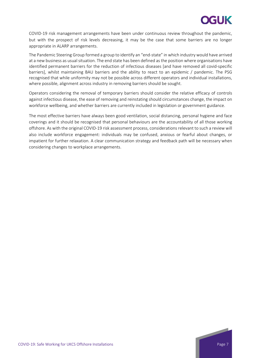# XGUK

COVID-19 risk management arrangements have been under continuous review throughout the pandemic, but with the prospect of risk levels decreasing, it may be the case that some barriers are no longer appropriate in ALARP arrangements.

The Pandemic Steering Group formed a group to identify an "end-state" in which industry would have arrived at a new business as usual situation. The end state has been defined as the position where organisations have identified permanent barriers for the reduction of infectious diseases [and have removed all covid-specific barriers], whilst maintaining BAU barriers and the ability to react to an epidemic / pandemic. The PSG recognised that while uniformity may not be possible across different operators and individual installations, where possible, alignment across industry in removing barriers should be sought.

Operators considering the removal of temporary barriers should consider the relative efficacy of controls against infectious disease, the ease of removing and reinstating should circumstances change, the impact on workforce wellbeing, and whether barriers are currently included in legislation or government guidance.

The most effective barriers have always been good ventilation, social distancing, personal hygiene and face coverings and it should be recognised that personal behaviours are the accountability of all those working offshore. As with the original COVID-19 risk assessment process, considerations relevant to such a review will also include workforce engagement: individuals may be confused, anxious or fearful about changes, or impatient for further relaxation. A clear communication strategy and feedback path will be necessary when considering changes to workplace arrangements.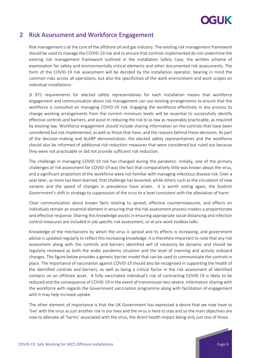

## <span id="page-7-0"></span>2 Risk Assessment and Workforce Engagement

Risk management is at the core of the offshore oil and gas industry. The existing risk management framework should be used to manage the COVID-19 risk and to ensure that controls implemented do not undermine the existing risk management framework outlined in the installation Safety Case, the written scheme of examination for safety and environmentally critical elements and other documented risk assessments. The form of the COVID-19 risk assessment will be decided by the installation operator, bearing in mind the common risks across all operations, but also the specificities of the work environment and work scopes on individual installations.

SI 971 requirements for elected safety representatives for each installation means that workforce engagement and communication about risk management can use existing arrangements to ensure that the workforce is consulted on managing COVID-19 risk. Engaging the workforce effectively in any process to change working arrangements from the current minimum levels will be essential to successfully identify effective controls and barriers, and assist in reducing the risk to as low as reasonably practicable, as required by existing law. Workforce engagement should include sharing information on the controls that have been considered but not implemented, as well as those that have, and the reasons behind these decisions. As part of the decision-making and ALARP demonstration, the elected safety representatives and the workforce should also be informed of additional risk reduction measures that were considered but ruled out because they were not practicable or did not provide sufficient risk reduction.

The challenge in managing COVID-19 risk has changed during the pandemic. Initially, one of the primary challenges of risk assessment for COVID-19 was the fact that comparatively little was known about the virus, and a significant proportion of the workforce were not familiar with managing infectious disease risk. Over a year later, as more has been learned, that challenge has lessened, while others such as the circulation of new variants and the speed of changes in prevalence have arisen. It is worth noting again, the Scottish Government's shift in strategy to suppression of the virus to a level consistent with the alleviation of harm.

Clear communication about known facts relating to spread, effective countermeasures, and effects on individuals remain an essential element in ensuring that the risk assessment process creates a proportionate and effective response. Sharing this knowledge assists in ensuring appropriate social distancing and infection control measures are included in job specific risk assessment, or at pre-work toolbox talks.

Knowledge of the mechanisms by which the virus is spread and its effects is increasing, and government advice is updated regularly to reflect this increasing knowledge. It is therefore important to note that any risk assessment along with the controls and barriers identified will of necessity be dynamic and should be regularly reviewed as both the wider pandemic situation and the level of manning and activity onboard changes. The figure below provides a generic barrier model that can be used to communicate the controls in place. The importance of vaccination against COVID-19 should also be recognised in supporting the health of the identified controls and barriers, as well as being a critical factor in the risk assessment of identified contacts on an offshore asset. A fully vaccinated individual's risk of contracting COVID-19 is likely to be reduced and the consequence of COVID-19 in the event of transmission less severe. Information sharing with the workforce with regards the Government vaccination programme along with facilitation of engagement with it may help increase uptake.

The other element of importance is that the UK Government has expressed a desire that we now have to 'live' with the virus as just another risk in our lives and the virus is here to stay and so the main objectives are now to alleviate all 'harms' associated with the virus, the direct health impact being only just one of those.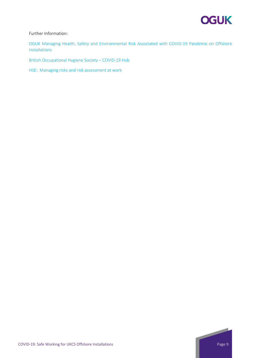

#### Further Information:

[OGUK Managing Health, Safety and Environmental Risk Associated with COVID-19 Pandemic on Offshore](https://oguk.org.uk/wp-content/uploads/2021/08/Managing-Health-Safety-and-Environmental-Risks-Associated-with-COVID19-Pandemic-for-Offshore-Installations-V1-1.pdf)  [Installations](https://oguk.org.uk/wp-content/uploads/2021/08/Managing-Health-Safety-and-Environmental-Risks-Associated-with-COVID19-Pandemic-for-Offshore-Installations-V1-1.pdf)

[British Occupational Hygiene Society –](https://www.bohs.org/covid-19-hub/) COVID-19 Hub

[HSE: Managing risks and risk assessment at work](https://www.hse.gov.uk/risk/controlling-risks.htm)

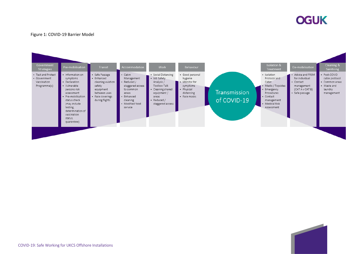

#### Figure 1: COVID-19 Barrier Model

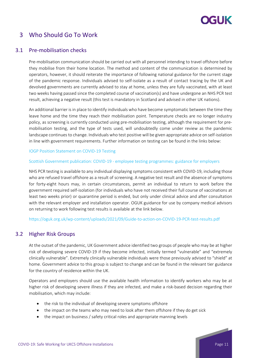# **CELLIK**

## <span id="page-10-0"></span>3 Who Should Go To Work

### <span id="page-10-1"></span>3.1 Pre-mobilisation checks

Pre-mobilisation communication should be carried out with all personnel intending to travel offshore before they mobilise from their home location. The method and content of the communication is determined by operators, however, it should reiterate the importance of following national guidance for the current stage of the pandemic response. Individuals advised to self-isolate as a result of contact tracing by the UK and devolved governments are currently advised to stay at home, unless they are fully vaccinated, with at least two weeks having passed since the completed course of vaccination(s) and have undergone an NHS PCR test result, achieving a negative result (this test is mandatory in Scotland and advised in other UK nations).

An additional barrier is in place to identify individuals who have become symptomatic between the time they leave home and the time they reach their mobilisation point. Temperature checks are no longer industry policy, as screening is currently conducted using pre-mobilisation testing, although the requirement for premobilisation testing, and the type of tests used, will undoubtedly come under review as the pandemic landscape continues to change. Individuals who test positive will be given appropriate advice on self-isolation in line with government requirements. Further information on testing can be found in the links below:

#### [IOGP Position Statement on COVID-19 Testing](https://www.iogp.org/blog/position-statements/statement-on-covid-19-testing-in-the-oil-and-gas-industry/)

#### Scottish Government publication: COVID-19 - [employee testing programmes: guidance for employers](https://www.gov.scot/publications/guidance-employers-private-asymptomatic-employee-testing-programs/)

NHS PCR testing is available to any individual displaying symptoms consistent with COVID-19, including those who are refused travel offshore as a result of screening. A negative test result and the absence of symptoms for forty-eight hours may, in certain circumstances, permit an individual to return to work before the government required self-isolation (for individuals who have not received their full course of vaccinations at least two weeks prior) or quarantine period is ended, but only under clinical advice and after consultation with the relevant employer and installation operator. OGUK guidance for use by company medical advisors on returning to work following test results is available at the link below.

<span id="page-10-2"></span><https://oguk.org.uk/wp-content/uploads/2021/09/Guide-to-action-on-COVID-19-PCR-test-results.pdf>

### 3.2 Higher Risk Groups

At the outset of the pandemic, UK Government advice identified two groups of people who may be at higher risk of developing severe COVID-19 if they become infected, initially termed "vulnerable" and "extremely clinically vulnerable". Extremely clinically vulnerable individuals were those previously advised to "shield" at home. Government advice to this group is subject to change and can be found in the relevant tier guidance for the country of residence within the UK.

Operators and employers should use the available health information to identify workers who may be at higher risk of developing severe illness if they are infected, and make a risk-based decision regarding their mobilisation, which may include:

- the risk to the individual of developing severe symptoms offshore
- the impact on the teams who may need to look after them offshore if they do get sick
- the impact on business / safety critical roles and appropriate manning levels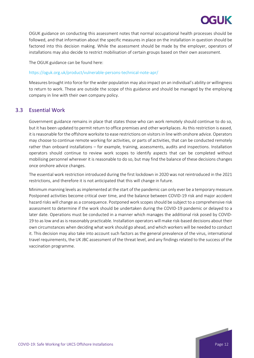

OGUK guidance on conducting this assessment notes that normal occupational health processes should be followed, and that information about the specific measures in place on the installation in question should be factored into this decision making. While the assessment should be made by the employer, operators of installations may also decide to restrict mobilisation of certain groups based on their own assessment.

The OGUK guidance can be found here:

#### <https://oguk.org.uk/product/vulnerable-persons-technical-note-apr/>

Measures brought into force for the wider population may also impact on an individual's ability or willingness to return to work. These are outside the scope of this guidance and should be managed by the employing company in line with their own company policy.

### <span id="page-11-0"></span>3.3 Essential Work

Government guidance remains in place that states those who can work remotely should continue to do so, but it has been updated to permit return to office premises and other workplaces. As this restriction is eased, it is reasonable for the offshore worksite to ease restrictions on visitors in line with onshore advice. Operators may choose to continue remote working for activities, or parts of activities, that can be conducted remotely rather than onboard installations – for example, training, assessments, audits and inspections. Installation operators should continue to review work scopes to identify aspects that can be completed without mobilising personnel wherever it is reasonable to do so, but may find the balance of these decisions changes once onshore advice changes.

The essential work restriction introduced during the first lockdown in 2020 was not reintroduced in the 2021 restrictions, and therefore it is not anticipated that this will change in future.

Minimum manning levels as implemented at the start of the pandemic can only ever be a temporary measure. Postponed activities become critical over time, and the balance between COVID-19 risk and major accident hazard risks will change as a consequence. Postponed work scopes should be subject to a comprehensive risk assessment to determine if the work should be undertaken during the COVID-19 pandemic or delayed to a later date. Operations must be conducted in a manner which manages the additional risk posed by COVID-19 to as low and as is reasonably practicable. Installation operators will make risk-based decisions about their own circumstances when deciding what work should go ahead, and which workers will be needed to conduct it. This decision may also take into account such factors as the general prevalence of the virus, international travel requirements, the UK JBC assessment of the threat level, and any findings related to the success of the vaccination programme.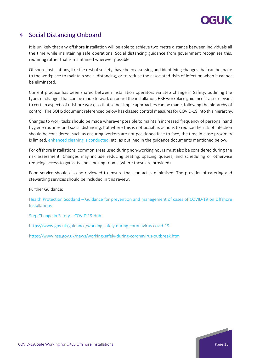

## <span id="page-12-0"></span>4 Social Distancing Onboard

It is unlikely that any offshore installation will be able to achieve two metre distance between individuals all the time while maintaining safe operations. Social distancing guidance from government recognises this, requiring rather that is maintained wherever possible.

Offshore installations, like the rest of society, have been assessing and identifying changes that can be made to the workplace to maintain social distancing, or to reduce the associated risks of infection when it cannot be eliminated.

Current practice has been shared between installation operators via Step Change in Safety, outlining the types of changes that can be made to work on board the installation. HSE workplace guidance is also relevant to certain aspects of offshore work, so that same simple approaches can be made, following the hierarchy of control. The BOHS document referenced below has classed control measures for COVID-19 into this hierarchy.

Changes to work tasks should be made wherever possible to maintain increased frequency of personal hand hygiene routines and social distancing, but where this is not possible, actions to reduce the risk of infection should be considered, such as ensuring workers are not positioned face to face, the time in close proximity is limited, [enhanced cleaning is conducted,](#page-14-0) etc. as outlined in the guidance documents mentioned below.

For offshore installations, common areas used during non-working hours must also be considered during the risk assessment. Changes may include reducing seating, spacing queues, and scheduling or otherwise reducing access to gyms, tv and smoking rooms (where these are provided).

Food service should also be reviewed to ensure that contact is minimised. The provider of catering and stewarding services should be included in this review.

Further Guidance:

Health Protection Scotland – [Guidance for prevention and management of cases of COVID-19 on Offshore](https://www.hps.scot.nhs.uk/web-resources-container/guidance-for-prevention-and-management-of-cases-of-covid-19-on-offshore-installations/)  [Installations](https://www.hps.scot.nhs.uk/web-resources-container/guidance-for-prevention-and-management-of-cases-of-covid-19-on-offshore-installations/)

[Step Change in Safety –](https://www.stepchangeinsafety.net/workgroups/covid-19/) COVID 19 Hub

<https://www.gov.uk/guidance/working-safely-during-coronavirus-covid-19>

<https://www.hse.gov.uk/news/working-safely-during-coronavirus-outbreak.htm>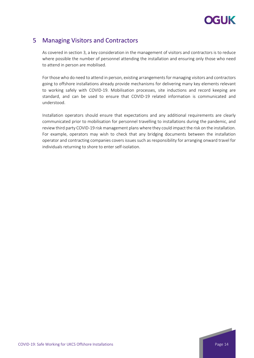

## <span id="page-13-0"></span>5 Managing Visitors and Contractors

As covered in section 3, a key consideration in the management of visitors and contractors is to reduce where possible the number of personnel attending the installation and ensuring only those who need to attend in person are mobilised.

For those who do need to attend in person, existing arrangements for managing visitors and contractors going to offshore installations already provide mechanisms for delivering many key elements relevant to working safely with COVID-19. Mobilisation processes, site inductions and record keeping are standard, and can be used to ensure that COVID-19 related information is communicated and understood.

Installation operators should ensure that expectations and any additional requirements are clearly communicated prior to mobilisation for personnel travelling to installations during the pandemic, and review third party COVID-19 risk management plans where they could impact the risk on the installation. For example, operators may wish to check that any bridging documents between the installation operator and contracting companies covers issues such as responsibility for arranging onward travel for individuals returning to shore to enter self-isolation.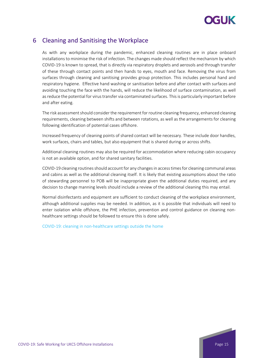

## <span id="page-14-0"></span>6 Cleaning and Sanitising the Workplace

As with any workplace during the pandemic, enhanced cleaning routines are in place onboard installations to minimise the risk of infection. The changes made should reflect the mechanism by which COVID-19 is known to spread, that is directly via respiratory droplets and aerosols and through transfer of these through contact points and then hands to eyes, mouth and face. Removing the virus from surfaces through cleaning and sanitising provides group protection. This includes personal hand and respiratory hygiene. Effective hand washing or sanitisation before and after contact with surfaces and avoiding touching the face with the hands, will reduce the likelihood of surface contamination, as well as reduce the potential for virus transfer via contaminated surfaces. This is particularly important before and after eating.

The risk assessment should consider the requirement for routine cleaning frequency, enhanced cleaning requirements, cleaning between shifts and between rotations, as well as the arrangements for cleaning following identification of potential cases offshore.

Increased frequency of cleaning points of shared contact will be necessary. These include door handles, work surfaces, chairs and tables, but also equipment that is shared during or across shifts.

Additional cleaning routines may also be required for accommodation where reducing cabin occupancy is not an available option, and for shared sanitary facilities.

COVID-19 cleaning routines should account for any changes in access times for cleaning communal areas and cabins as well as the additional cleaning itself. It is likely that existing assumptions about the ratio of stewarding personnel to POB will be inappropriate given the additional duties required, and any decision to change manning levels should include a review of the additional cleaning this may entail.

Normal disinfectants and equipment are sufficient to conduct cleaning of the workplace environment, although additional supplies may be needed. In addition, as it is possible that individuals will need to enter isolation while offshore, the PHE infection, prevention and control guidance on cleaning nonhealthcare settings should be followed to ensure this is done safely.

[COVID-19: cleaning in non-healthcare settings outside the home](https://www.gov.uk/government/publications/covid-19-decontamination-in-non-healthcare-settings/covid-19-decontamination-in-non-healthcare-settings)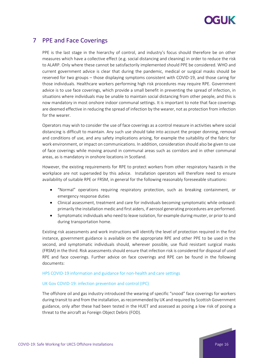

## <span id="page-15-0"></span>7 PPE and Face Coverings

PPE is the last stage in the hierarchy of control, and industry's focus should therefore be on other measures which have a collective effect (e.g. social distancing and cleaning) in order to reduce the risk to ALARP. Only where these cannot be satisfactorily implemented should PPE be considered. WHO and current government advice is clear that during the pandemic, medical or surgical masks should be reserved for two groups – those displaying symptoms consistent with COVID-19, and those caring for those individuals. Healthcare workers performing high risk procedures may require RPE. Government advice is to use face coverings, which provide a small benefit in preventing the spread of infection, in situations where individuals may be unable to maintain social distancing from other people, and this is now mandatory in most onshore indoor communal settings. It is important to note that face coverings are deemed effective in reducing the spread of infection by the wearer, not as protection from infection for the wearer.

Operators may wish to consider the use of face coverings as a control measure in activities where social distancing is difficult to maintain. Any such use should take into account the proper donning, removal and conditions of use, and any safety implications arising, for example the suitability of the fabric for work environment, or impact on communications. In addition, consideration should also be given to use of face coverings while moving around in communal areas such as corridors and in other communal areas, as is mandatory in onshore locations in Scotland.

However, the existing requirements for RPE to protect workers from other respiratory hazards in the workplace are not superseded by this advice. Installation operators will therefore need to ensure availability of suitable RPE or FRSM, in general for the following reasonably foreseeable situations:

- "Normal" operations requiring respiratory protection, such as breaking containment, or emergency response duties
- Clinical assessment, treatment and care for individuals becoming symptomatic while onboard: primarily the installation medic and first aiders, if aerosol generating procedures are performed.
- Symptomatic individuals who need to leave isolation, for example during muster, or prior to and during transportation home.

Existing risk assessments and work instructions will identify the level of protection required in the first instance, government guidance is available on the appropriate RPE and other PPE to be used in the second, and symptomatic individuals should, wherever possible, use fluid resistant surgical masks (FRSM) in the third. Risk assessments should ensure that infection risk is considered for disposal of used RPE and face coverings. Further advice on face coverings and RPE can be found in the following documents:

#### [HPS COVID-19 information and guidance for non-health and care settings](https://hpspubsrepo.blob.core.windows.net/hps-website/nss/2973/documents/1_covid-19-guidance-for-non-healthcare-settings.pdf)

#### [UK Gov COVID-19: infection prevention and control \(IPC\)](https://www.gov.uk/government/publications/wuhan-novel-coronavirus-infection-prevention-and-control)

The offshore oil and gas industry introduced the wearing of specific "snood" face coverings for workers during transit to and from the installation, as recommended by UK and required by Scottish Government guidance, only after these had been tested in the HUET and assessed as posing a low risk of posing a threat to the aircraft as Foreign Object Debris (FOD).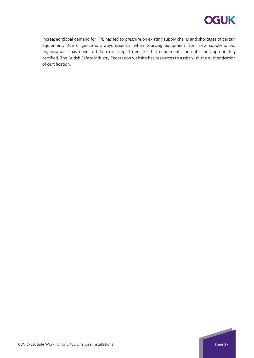

Increased global demand for PPE has led to pressure on existing supply chains and shortages of certain equipment. Due diligence is always essential when sourcing equipment from new suppliers, but organisations may need to take extra steps to ensure that equipment is in date and appropriately certified. The British Safety Industry Federation website has resources to assist with the authentication of certification.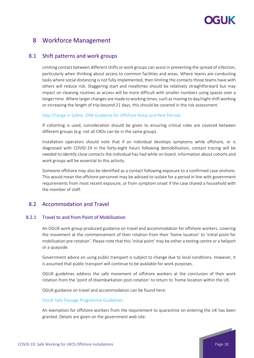# **YGLIK**

## <span id="page-17-0"></span>8 Workforce Management

### <span id="page-17-1"></span>8.1 Shift patterns and work groups

Limiting contact between different shifts or work groups can assist in preventing the spread of infection, particularly when thinking about access to common facilities and areas. Where teams are conducting tasks where social distancing is not fully implemented, then limiting the contacts those teams have with others will reduce risk. Staggering start and mealtimes should be relatively straightforward but may impact on cleaning routines as access will be more difficult with smaller numbers using spaces over a longer time. Where larger changes are made to working times, such as moving to day/night shift working or increasing the length of trip beyond 21 days, this should be covered in the risk assessment.

#### Step [Change in Safety: OIM Guidance for Offshore Rotas and Rest Periods](https://www.stepchangeinsafety.net/resources/oim-guidance-for-offshore-rotas-and-rest-periods/)

If cohorting is used, consideration should be given to ensuring critical roles are covered between different groups (e.g. not all CROs can be in the same group).

Installation operators should note that if an individual develops symptoms while offshore, or is diagnosed with COVID-19 in the forty-eight hours following demobilisation, contact tracing will be needed to identify close contacts the individual has had while on board. Information about cohorts and work groups will be essential to this activity.

Someone offshore may also be identified as a contact following exposure to a confirmed case onshore. This would mean the offshore personnel may be advised to isolate for a period in line with government requirements from most recent exposure, or from symptom onset if the case shared a household with the member of staff.

### <span id="page-17-2"></span>8.2 Accommodation and Travel

#### 8.2.1 Travel to and from Point of Mobilisation

<span id="page-17-3"></span>An OGUK work group produced guidance on travel and accommodation for offshore workers, covering the movement at the commencement of their rotation from their 'home location' to 'initial point for mobilisation pre-rotation'. Please note that this 'initial point' may be either a testing centre or a heliport or a quayside.

Government advice on using public transport is subject to change due to local conditions. However, it is assumed that public transport will continue to be available for work purposes.

OGUK guidelines address the safe movement of offshore workers at the conclusion of their work rotation from the 'point of disembarkation post-rotation' to return to 'home location within the UK.

OGUK guidance on travel and accommodation can be found here:

#### [OGUK Safe Passage Programme Guidelines](https://oguk.org.uk/product/oguk-safe-passage-programme-guidelines/)

An exemption for offshore workers from the requirement to quarantine on entering the UK has been granted. Details are given on the government web site:

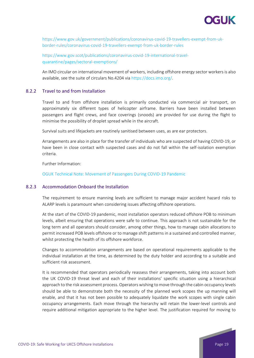

[https://www.gov.uk/government/publications/coronavirus-covid-19-travellers-exempt-from-uk](https://www.gov.uk/government/publications/coronavirus-covid-19-travellers-exempt-from-uk-border-rules/coronavirus-covid-19-travellers-exempt-from-uk-border-rules)[border-rules/coronavirus-covid-19-travellers-exempt-from-uk-border-rules](https://www.gov.uk/government/publications/coronavirus-covid-19-travellers-exempt-from-uk-border-rules/coronavirus-covid-19-travellers-exempt-from-uk-border-rules)

[https://www.gov.scot/publications/coronavirus-covid-19-international-travel](https://www.gov.scot/publications/coronavirus-covid-19-international-travel-quarantine/pages/sectoral-exemptions/)[quarantine/pages/sectoral-exemptions/](https://www.gov.scot/publications/coronavirus-covid-19-international-travel-quarantine/pages/sectoral-exemptions/)

<span id="page-18-0"></span>An IMO circular on international movement of workers, including offshore energy sector workers is also available, see the suite of circulars No.4204 via [https://docs.imo.org/.](https://docs.imo.org/)

#### 8.2.2 Travel to and from Installation

Travel to and from offshore installation is primarily conducted via commercial air transport, on approximately six different types of helicopter airframe. Barriers have been installed between passengers and flight crews, and face coverings (snoods) are provided for use during the flight to minimise the possibility of droplet spread while in the aircraft.

Survival suits and lifejackets are routinely sanitised between uses, as are ear protectors.

Arrangements are also in place for the transfer of individuals who are suspected of having COVID-19, or have been in close contact with suspected cases and do not fall within the self-isolation exemption criteria.

Further Information:

<span id="page-18-1"></span>[OGUK Technical Note: Movement of Passengers During COVID-19 Pandemic](https://oguk.org.uk/covid-19-updates/covid-19-aviation/)

#### 8.2.3 Accommodation Onboard the Installation

The requirement to ensure manning levels are sufficient to manage major accident hazard risks to ALARP levels is paramount when considering issues affecting offshore operations.

At the start of the COVID-19 pandemic, most installation operators reduced offshore POB to minimum levels, albeit ensuring that operations were safe to continue. This approach is not sustainable for the long term and all operators should consider, among other things, how to manage cabin allocations to permit increased POB levels offshore or to manage shift patterns in a sustained and controlled manner, whilst protecting the health of its offshore workforce.

Changes to accommodation arrangements are based on operational requirements applicable to the individual installation at the time, as determined by the duty holder and according to a suitable and sufficient risk assessment.

It is recommended that operators periodically reassess their arrangements, taking into account both the UK COVID-19 threat level and each of their installations' specific situation using a hierarchical approach to the risk assessment process. Operators wishing to move through the cabin occupancy levels should be able to demonstrate both the necessity of the planned work scopes the up manning will enable, and that it has not been possible to adequately liquidate the work scopes with single cabin occupancy arrangements. Each move through the hierarchy will retain the lower-level controls and require additional mitigation appropriate to the higher level. The justification required for moving to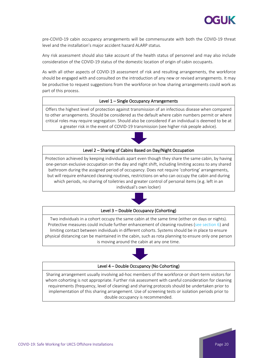

pre-COVID-19 cabin occupancy arrangements will be commensurate with both the COVID-19 threat level and the installation's major accident hazard ALARP status.

Any risk assessment should also take account of the health status of personnel and may also include consideration of the COVID-19 status of the domestic location of origin of cabin occupants.

As with all other aspects of COVID-19 assessment of risk and resulting arrangements, the workforce should be engaged with and consulted on the introduction of any new or revised arrangements. It may be productive to request suggestions from the workforce on how sharing arrangements could work as part of this process.

#### Level 1 – Single Occupancy Arrangements

Offers the highest level of protection against transmission of an infectious disease when compared to other arrangements. Should be considered as the default where cabin numbers permit or where critical roles may require segregation. Should also be considered if an individual is deemed to be at a greater risk in the event of COVID-19 transmission (see [higher risk people advice\)](https://oilandgasuk.co.uk/product/vulnerable-persons-technical-note/).



#### Level 2 – Sharing of Cabins Based on Day/Night Occupation

Protection achieved by keeping individuals apart even though they share the same cabin, by having one-person exclusive occupation on the day and night shift, including limiting access to any shared bathroom during the assigned period of occupancy. Does not require 'cohorting' arrangements, but will require enhanced cleaning routines, restrictions on who can occupy the cabin and during which periods, no sharing of toiletries and greater control of personal items (e.g. left in an individual's own locker)



#### Level 3 – Double Occupancy (Cohorting)

Two individuals in a cohort occupy the same cabin at the same time (either on days or nights). Protective measures could include further enhancement of cleaning routines [\(see section 6\)](#page-14-0) and limiting contact between individuals in different cohorts. Systems should be in place to ensure physical distancing can be maintained in the cabin, such as rota planning to ensure only one person is moving around the cabin at any one time.



#### Level 4 – Double Occupancy (No Cohorting)

Sharing arrangement usually involving ad-hoc members of the workforce or short-term visitors for whom cohorting is not appropriate. Further risk assessment with careful consideration for cleaning requirements (frequency, level of cleaning) and sharing protocols should be undertaken prior to implementation of this sharing arrangement. Use of screening tests or isolation periods prior to double occupancy is recommended.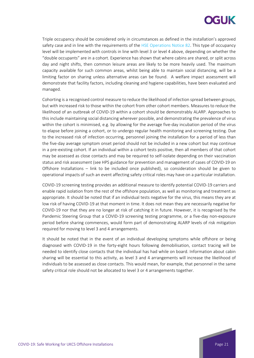# **CELIK**

Triple occupancy should be considered only in circumstances as defined in the installation's approved safety case and in line with the requirements of the [HSE Operations Notice 82.](https://www.hse.gov.uk/osdr/assets/docs/operations-notice-82-accommodation.pdf) This type of occupancy level will be implemented with controls in line with level 3 or level 4 above, depending on whether the "double occupants" are in a cohort. Experience has shown that where cabins are shared, or split across day and night shifts, then common leisure areas are likely to be more heavily used. The maximum capacity available for such common areas, whilst being able to maintain social distancing, will be a limiting factor on sharing unless alternative areas can be found. A welfare impact assessment will demonstrate that facility factors, including cleaning and hygiene capabilities, have been evaluated and managed.

Cohorting is a recognised control measure to reduce the likelihood of infection spread between groups, but with increased risk to those within the cohort from other cohort members. Measures to reduce the likelihood of an outbreak of COVID-19 within a cohort should be demonstrably ALARP. Approaches to this include maintaining social distancing wherever possible, and demonstrating the prevalence of virus within the cohort is minimised, e.g. by allowing for the average five-day incubation period of the virus to elapse before joining a cohort, or to undergo regular health monitoring and screening testing. Due to the increased risk of infection occurring, personnel joining the installation for a period of less than the five-day average symptom onset period should not be included in a new cohort but may continue in a pre-existing cohort. If an individual within a cohort tests positive, then all members of that cohort may be assessed as close contacts and may be required to self-isolate depending on their vaccination status and risk assessment (see HPS guidance for prevention and management of cases of COVID-19 on Offshore Installations – link to be included once published), so consideration should be given to operational impacts of such an event affecting safety critical roles may have on a particular installation.

COVID-19 screening testing provides an additional measure to identify potential COVID-19 carriers and enable rapid isolation from the rest of the offshore population, as well as monitoring and treatment as appropriate. It should be noted that if an individual tests negative for the virus, this means they are at low risk of having COVID-19 at that moment in time. It does not mean they are necessarily negative for COVID-19 nor that they are no longer at risk of catching it in future. However, it is recognised by the Pandemic Steering Group that a COVID-19 screening testing programme, or a five-day non-exposure period before sharing commences, would form part of demonstrating ALARP levels of risk mitigation required for moving to level 3 and 4 arrangements.

It should be noted that in the event of an individual developing symptoms while offshore or being diagnosed with COVID-19 in the forty-eight hours following demobilisation, contact tracing will be needed to identify close contacts that the individual has had while on board. Information about cabin sharing will be essential to this activity, as level 3 and 4 arrangements will increase the likelihood of individuals to be assessed as close contacts. This would mean, for example, that personnel in the same safety critical role should not be allocated to level 3 or 4 arrangements together.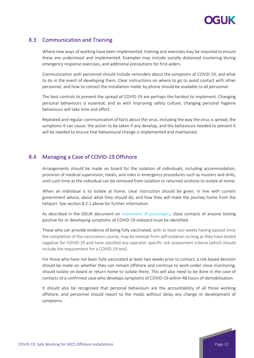

## <span id="page-21-0"></span>8.3 Communication and Training

Where new ways of working have been implemented, training and exercises may be required to ensure these are understood and implemented. Examples may include socially distanced mustering during emergency response exercises, and additional precautions for first-aiders.

Communication with personnel should include reminders about the symptoms of COVID-19, and what to do in the event of developing them. Clear instructions on where to go to avoid contact with other personnel, and how to contact the installation medic by phone should be available to all personnel.

The best controls to prevent the spread of COVID-19 are perhaps the hardest to implement. Changing personal behaviours is essential, and as with improving safety culture, changing personal hygiene behaviours will take time and effort.

Repeated and regular communication of facts about the virus, including the way the virus is spread, the symptoms it can cause, the action to be taken if any develop, and the behaviours needed to prevent it will be needed to ensure that behavioural change is implemented and maintained.

### <span id="page-21-1"></span>8.4 Managing a Case of COVID-19 Offshore

Arrangements should be made on board for the isolation of individuals, including accommodation, provision of medical supervision, meals, and roles in emergency procedures such as musters and drills, until such time as the individual can be removed from isolation or returned onshore to isolate at home.

When an individual is to isolate at home, clear instruction should be given, in line with current government advice, about what they should do, and how they will make the journey home from the heliport. See section 8.2.1 above for further information.

As described in the OGUK document on [movement of passengers,](https://oguk.org.uk/wp-content/uploads/2021/09/COVID-Movement-of-Passengers-Technical-Note-Issue-8.pdf) close contacts of anyone testing positive for or developing symptoms of COVID-19 onboard must be identified.

Those who can provide evidence of being fully vaccinated, with at least two weeks having passed since the completion of the vaccination course, may be exempt from self-isolation so long as they have tested negative for COVID-19 and have satisfied any operator specific risk assessment criteria (which should include the requirement for a COVID-19 test).

For those who have not been fully vaccinated at least two weeks prior to contact, a risk-based decision should be made on whether they can remain offshore and continue to work under close monitoring, should isolate on board or return home to isolate there. This will also need to be done in the case of contacts of a confirmed case who develops symptoms of COVID-19 within 48 hours of demobilisation.

It should also be recognised that personal behaviours are the accountability of all those working offshore, and personnel should report to the medic without delay any change or development of symptoms.

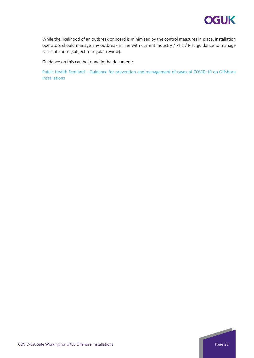

While the likelihood of an outbreak onboard is minimised by the control measures in place, installation operators should manage any outbreak in line with current industry / PHS / PHE guidance to manage cases offshore (subject to regular review).

Guidance on this can be found in the document:

Public Health Scotland – [Guidance for prevention and management of cases of COVID-19 on Offshore](https://www.hps.scot.nhs.uk/web-resources-container/guidance-for-prevention-and-management-of-cases-of-covid-19-on-offshore-installations/)  [Installations](https://www.hps.scot.nhs.uk/web-resources-container/guidance-for-prevention-and-management-of-cases-of-covid-19-on-offshore-installations/)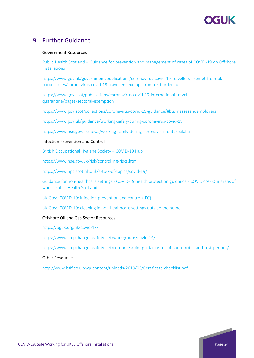# YGI IK

## <span id="page-23-0"></span>9 Further Guidance

#### Government Resources

Public Health Scotland – [Guidance for prevention and management of cases of COVID-19 on Offshore](https://www.hps.scot.nhs.uk/web-resources-container/guidance-for-prevention-and-management-of-cases-of-covid-19-on-offshore-installations/)  [Installations](https://www.hps.scot.nhs.uk/web-resources-container/guidance-for-prevention-and-management-of-cases-of-covid-19-on-offshore-installations/)

[https://www.gov.uk/government/publications/coronavirus-covid-19-travellers-exempt-from-uk](https://www.gov.uk/government/publications/coronavirus-covid-19-travellers-exempt-from-uk-border-rules/coronavirus-covid-19-travellers-exempt-from-uk-border-rules)[border-rules/coronavirus-covid-19-travellers-exempt-from-uk-border-rules](https://www.gov.uk/government/publications/coronavirus-covid-19-travellers-exempt-from-uk-border-rules/coronavirus-covid-19-travellers-exempt-from-uk-border-rules)

[https://www.gov.scot/publications/coronavirus-covid-19-international-travel](https://www.gov.scot/publications/coronavirus-covid-19-international-travel-quarantine/pages/sectoral-exemptions/#:%7E:text=Sectoral%20exemptions%20A%20small%20number%20of%20people%20travelling,essential%20activities.%20Others%20are%20not%20required%20to%20isolate.)[quarantine/pages/sectoral-exemption](https://www.gov.scot/publications/coronavirus-covid-19-international-travel-quarantine/pages/sectoral-exemptions/#:%7E:text=Sectoral%20exemptions%20A%20small%20number%20of%20people%20travelling,essential%20activities.%20Others%20are%20not%20required%20to%20isolate.)

<https://www.gov.scot/collections/coronavirus-covid-19-guidance/#businessesandemployers>

<https://www.gov.uk/guidance/working-safely-during-coronavirus-covid-19>

<https://www.hse.gov.uk/news/working-safely-during-coronavirus-outbreak.htm>

#### Infection Prevention and Control

[British Occupational Hygiene Society –](https://www.bohs.org/covid-19-hub/) COVID-19 Hub

[https://www.hse.gov.uk/risk/controlling-risks.htm](https://www.hse.gov.uk/simple-health-safety/risk/index.htm)

<https://www.hps.scot.nhs.uk/a-to-z-of-topics/covid-19/>

Guidance for non-healthcare settings - [COVID-19 health protection guidance -](https://publichealthscotland.scot/our-areas-of-work/covid-19/covid-19-health-protection-guidance/guidance-for-non-healthcare-settings/) COVID-19 - Our areas of work - [Public Health Scotland](https://publichealthscotland.scot/our-areas-of-work/covid-19/covid-19-health-protection-guidance/guidance-for-non-healthcare-settings/)

[UK Gov: COVID-19: infection prevention and control \(IPC\)](https://www.gov.uk/government/publications/wuhan-novel-coronavirus-infection-prevention-and-control)

[UK Gov: COVID-19: cleaning in non-healthcare settings outside the home](https://www.gov.uk/government/publications/covid-19-decontamination-in-non-healthcare-settings/covid-19-decontamination-in-non-healthcare-settings)

#### Offshore Oil and Gas Sector Resources

[https://oguk.org.uk/covid-19/](https://oguk.org.uk/covid-19-updates/)

<https://www.stepchangeinsafety.net/workgroups/covid-19/>

<https://www.stepchangeinsafety.net/resources/oim-guidance-for-offshore-rotas-and-rest-periods/>

Other Resources

<http://www.bsif.co.uk/wp-content/uploads/2019/03/Certificate-checklist.pdf>